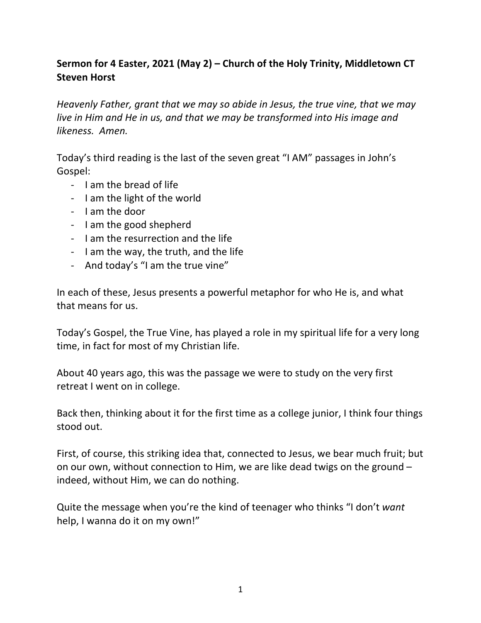## Sermon for 4 Easter, 2021 (May 2) – Church of the Holy Trinity, Middletown CT **Steven Horst**

*Heavenly Father, grant that we may so abide in Jesus, the true vine, that we may live in Him and He in us, and that we may be transformed into His image and likeness. Amen.*

Today's third reading is the last of the seven great "I AM" passages in John's Gospel:

- Lam the bread of life
- I am the light of the world
- I am the door
- I am the good shepherd
- I am the resurrection and the life
- I am the way, the truth, and the life
- And today's "I am the true vine"

In each of these, Jesus presents a powerful metaphor for who He is, and what that means for us.

Today's Gospel, the True Vine, has played a role in my spiritual life for a very long time, in fact for most of my Christian life.

About 40 years ago, this was the passage we were to study on the very first retreat I went on in college.

Back then, thinking about it for the first time as a college junior, I think four things stood out.

First, of course, this striking idea that, connected to Jesus, we bear much fruit; but on our own, without connection to Him, we are like dead twigs on the ground  $$ indeed, without Him, we can do nothing.

Quite the message when you're the kind of teenager who thinks "I don't want help, I wanna do it on my own!"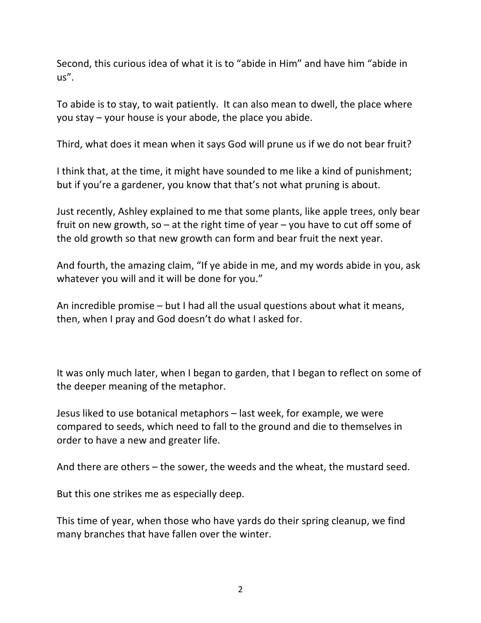Second, this curious idea of what it is to "abide in Him" and have him "abide in us".

To abide is to stay, to wait patiently. It can also mean to dwell, the place where you stay  $-$  your house is your abode, the place you abide.

Third, what does it mean when it says God will prune us if we do not bear fruit?

I think that, at the time, it might have sounded to me like a kind of punishment; but if you're a gardener, you know that that's not what pruning is about.

Just recently, Ashley explained to me that some plants, like apple trees, only bear fruit on new growth, so  $-$  at the right time of year  $-$  you have to cut off some of the old growth so that new growth can form and bear fruit the next year.

And fourth, the amazing claim, "If ye abide in me, and my words abide in you, ask whatever you will and it will be done for you."

An incredible promise  $-$  but I had all the usual questions about what it means, then, when I pray and God doesn't do what I asked for.

It was only much later, when I began to garden, that I began to reflect on some of the deeper meaning of the metaphor.

Jesus liked to use botanical metaphors – last week, for example, we were compared to seeds, which need to fall to the ground and die to themselves in order to have a new and greater life.

And there are others  $-$  the sower, the weeds and the wheat, the mustard seed.

But this one strikes me as especially deep.

This time of year, when those who have yards do their spring cleanup, we find many branches that have fallen over the winter.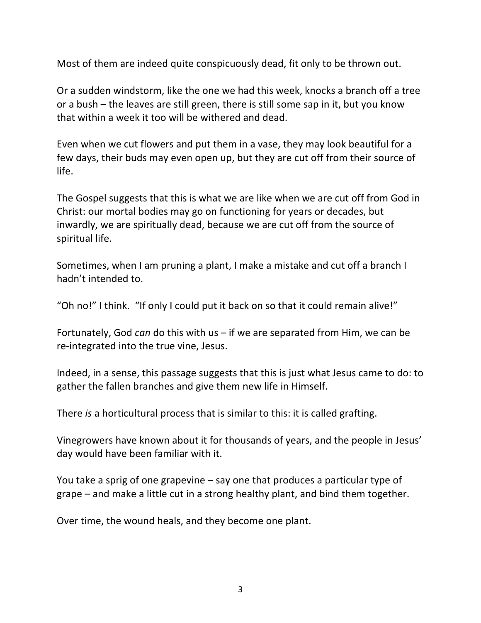Most of them are indeed quite conspicuously dead, fit only to be thrown out.

Or a sudden windstorm, like the one we had this week, knocks a branch off a tree or a bush – the leaves are still green, there is still some sap in it, but you know that within a week it too will be withered and dead.

Even when we cut flowers and put them in a vase, they may look beautiful for a few days, their buds may even open up, but they are cut off from their source of life.

The Gospel suggests that this is what we are like when we are cut off from God in Christ: our mortal bodies may go on functioning for years or decades, but inwardly, we are spiritually dead, because we are cut off from the source of spiritual life.

Sometimes, when I am pruning a plant, I make a mistake and cut off a branch I hadn't intended to.

"Oh no!" I think. "If only I could put it back on so that it could remain alive!"

Fortunately, God *can* do this with us – if we are separated from Him, we can be re-integrated into the true vine, Jesus.

Indeed, in a sense, this passage suggests that this is just what Jesus came to do: to gather the fallen branches and give them new life in Himself.

There *is* a horticultural process that is similar to this: it is called grafting.

Vinegrowers have known about it for thousands of years, and the people in Jesus' day would have been familiar with it.

You take a sprig of one grapevine  $-$  say one that produces a particular type of grape  $-$  and make a little cut in a strong healthy plant, and bind them together.

Over time, the wound heals, and they become one plant.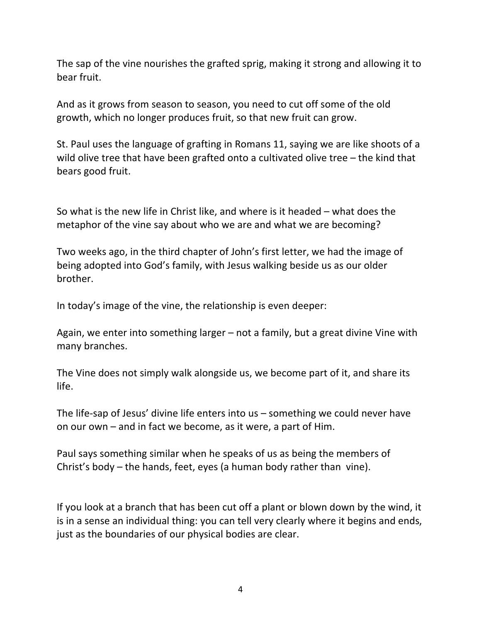The sap of the vine nourishes the grafted sprig, making it strong and allowing it to bear fruit.

And as it grows from season to season, you need to cut off some of the old growth, which no longer produces fruit, so that new fruit can grow.

St. Paul uses the language of grafting in Romans 11, saying we are like shoots of a wild olive tree that have been grafted onto a cultivated olive tree  $-$  the kind that bears good fruit.

So what is the new life in Christ like, and where is it headed  $-$  what does the metaphor of the vine say about who we are and what we are becoming?

Two weeks ago, in the third chapter of John's first letter, we had the image of being adopted into God's family, with Jesus walking beside us as our older brother.

In today's image of the vine, the relationship is even deeper:

Again, we enter into something larger  $-$  not a family, but a great divine Vine with many branches.

The Vine does not simply walk alongside us, we become part of it, and share its life.

The life-sap of Jesus' divine life enters into us  $-$  something we could never have on our own  $-$  and in fact we become, as it were, a part of Him.

Paul says something similar when he speaks of us as being the members of Christ's body  $-$  the hands, feet, eyes (a human body rather than vine).

If you look at a branch that has been cut off a plant or blown down by the wind, it is in a sense an individual thing: you can tell very clearly where it begins and ends, just as the boundaries of our physical bodies are clear.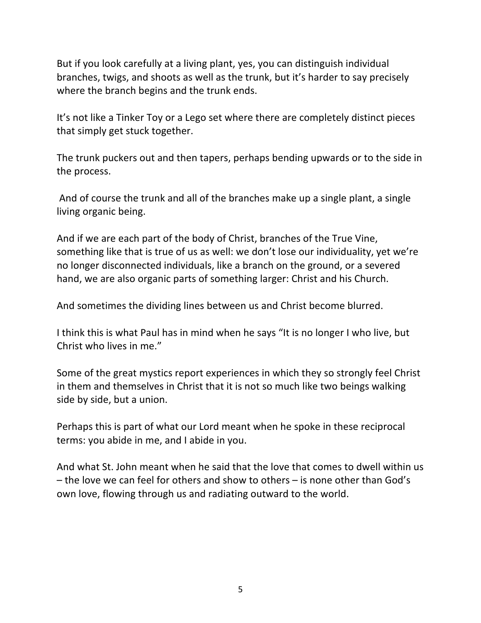But if you look carefully at a living plant, yes, you can distinguish individual branches, twigs, and shoots as well as the trunk, but it's harder to say precisely where the branch begins and the trunk ends.

It's not like a Tinker Toy or a Lego set where there are completely distinct pieces that simply get stuck together.

The trunk puckers out and then tapers, perhaps bending upwards or to the side in the process.

And of course the trunk and all of the branches make up a single plant, a single living organic being.

And if we are each part of the body of Christ, branches of the True Vine, something like that is true of us as well: we don't lose our individuality, yet we're no longer disconnected individuals, like a branch on the ground, or a severed hand, we are also organic parts of something larger: Christ and his Church.

And sometimes the dividing lines between us and Christ become blurred.

I think this is what Paul has in mind when he says "It is no longer I who live, but Christ who lives in me."

Some of the great mystics report experiences in which they so strongly feel Christ in them and themselves in Christ that it is not so much like two beings walking side by side, but a union.

Perhaps this is part of what our Lord meant when he spoke in these reciprocal terms: you abide in me, and I abide in you.

And what St. John meant when he said that the love that comes to dwell within us  $-$  the love we can feel for others and show to others  $-$  is none other than God's own love, flowing through us and radiating outward to the world.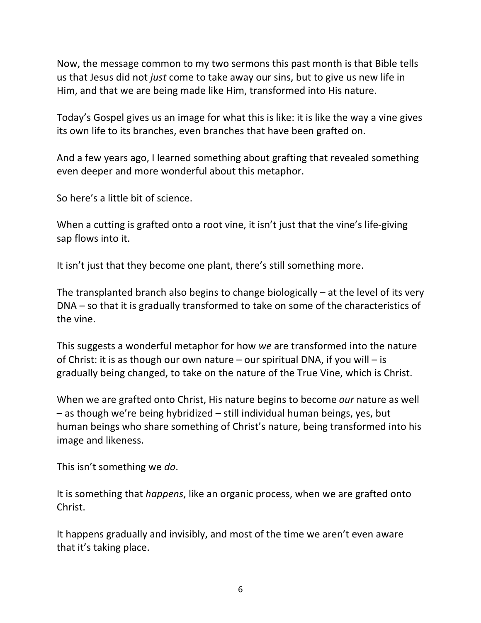Now, the message common to my two sermons this past month is that Bible tells us that Jesus did not *just* come to take away our sins, but to give us new life in Him, and that we are being made like Him, transformed into His nature.

Today's Gospel gives us an image for what this is like: it is like the way a vine gives its own life to its branches, even branches that have been grafted on.

And a few years ago, I learned something about grafting that revealed something even deeper and more wonderful about this metaphor.

So here's a little bit of science.

When a cutting is grafted onto a root vine, it isn't just that the vine's life-giving sap flows into it.

It isn't just that they become one plant, there's still something more.

The transplanted branch also begins to change biologically  $-$  at the level of its very  $DNA$  – so that it is gradually transformed to take on some of the characteristics of the vine.

This suggests a wonderful metaphor for how *we* are transformed into the nature of Christ: it is as though our own nature  $-$  our spiritual DNA, if you will  $-$  is gradually being changed, to take on the nature of the True Vine, which is Christ.

When we are grafted onto Christ, His nature begins to become *our* nature as well  $-$  as though we're being hybridized  $-$  still individual human beings, yes, but human beings who share something of Christ's nature, being transformed into his image and likeness.

This isn't something we do.

It is something that *happens*, like an organic process, when we are grafted onto Christ.

It happens gradually and invisibly, and most of the time we aren't even aware that it's taking place.